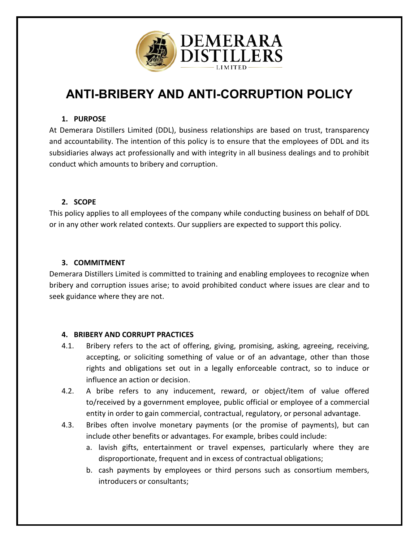

# **[ANTI-BRIBERY AND ANTI-CORRUPTION POLICY](https://www.shrm.org/ResourcesAndTools/tools-and-samples/policies/Documents/Anti%20harassment%20Policy%20and%20Complaint%20Procedure.docx)**

## **1. PURPOSE**

At Demerara Distillers Limited (DDL), business relationships are based on trust, transparency and accountability. The intention of this policy is to ensure that the employees of DDL and its subsidiaries always act professionally and with integrity in all business dealings and to prohibit conduct which amounts to bribery and corruption.

### **2. SCOPE**

This policy applies to all employees of the company while conducting business on behalf of DDL or in any other work related contexts. Our suppliers are expected to support this policy.

### **3. COMMITMENT**

Demerara Distillers Limited is committed to training and enabling employees to recognize when bribery and corruption issues arise; to avoid prohibited conduct where issues are clear and to seek guidance where they are not.

### **4. BRIBERY AND CORRUPT PRACTICES**

- 4.1. Bribery refers to the act of offering, giving, promising, asking, agreeing, receiving, accepting, or soliciting something of value or of an advantage, other than those rights and obligations set out in a legally enforceable contract, so to induce or influence an action or decision.
- 4.2. A bribe refers to any inducement, reward, or object/item of value offered to/received by a government employee, public official or employee of a commercial entity in order to gain commercial, contractual, regulatory, or personal advantage.
- 4.3. Bribes often involve monetary payments (or the promise of payments), but can include other benefits or advantages. For example, bribes could include:
	- a. lavish gifts, entertainment or travel expenses, particularly where they are disproportionate, frequent and in excess of contractual obligations;
	- b. cash payments by employees or third persons such as consortium members, introducers or consultants;